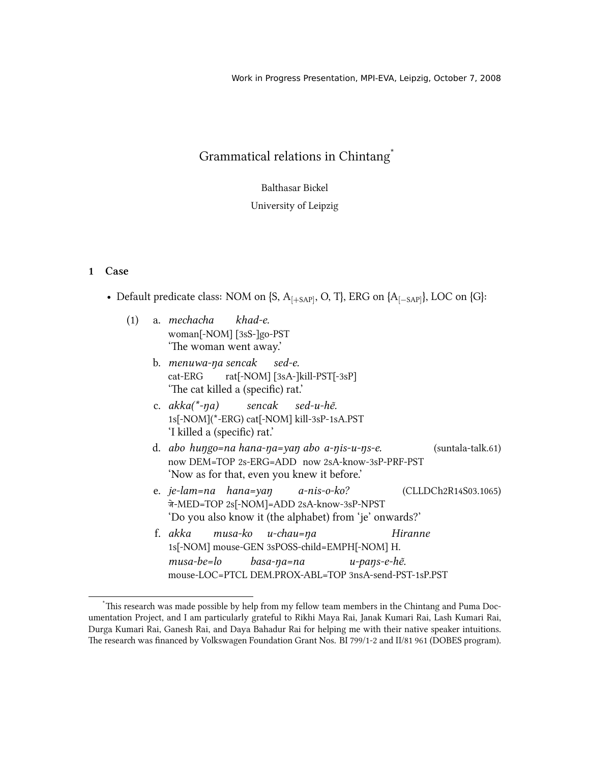# Grammatical relations in Chintang<sup>\*</sup>

#### Balthasar Bickel

## University of Leipzig

#### **1 Case**

- Default predicate class: NOM on {S, A[+SAP] , O, T}, ERG on {A[*−*SAP] }, LOC on {G}:
	- (1) a. *mechacha* woman[-NOM] [3sS-]go-PST *khad-e.* 'The woman went away.'
		- b. *menuwa-ŋa sencak* cat-ERG rat[-NOM] [3sA-]kill-PST[-3sP] *sed-e.* 'The cat killed a (specific) rat.'
		- c. *akka(\*-ŋa)* 1s[-NOM](\*-ERG) cat[-NOM] kill-3sP-1sA.PST *sencak sed-u-hẽ.* 'I killed a (specific) rat.'
		- d. *abo huŋgo=na hana-ŋa=yaŋ abo a-ŋis-u-ŋs-e.* now DEM=TOP 2s-ERG=ADD now 2sA-know-3sP-PRF-PST (suntala-talk.61) 'Now as for that, even you knew it before.'
		- e. *je-lam=na hana=yaŋ* जे-MED=TOP 2s[-NOM]=ADD 2sA-know-3sP-NPST *a-nis-o-ko?* (CLLDCh2R14S03.1065) 'Do you also know it (the alphabet) from 'je' onwards?'
		- f. *akka* 1s[-NOM] mouse-GEN 3sPOSS-child=EMPH[-NOM] H. *musa-ko u-au=ŋa Hiranne musa-be=lo* mouse-LOC=PTCL DEM.PROX-ABL=TOP 3nsA-send-PST-1sP.PST *basa-ŋa=na u-paŋs-e-hẽ.*

<sup>&</sup>lt;sup>\*</sup>This research was made possible by help from my fellow team members in the Chintang and Puma Documentation Project, and I am particularly grateful to Rikhi Maya Rai, Janak Kumari Rai, Lash Kumari Rai, Durga Kumari Rai, Ganesh Rai, and Daya Bahadur Rai for helping me with their native speaker intuitions. The research was financed by Volkswagen Foundation Grant Nos. BI 799/1-2 and II/81 961 (DOBES program).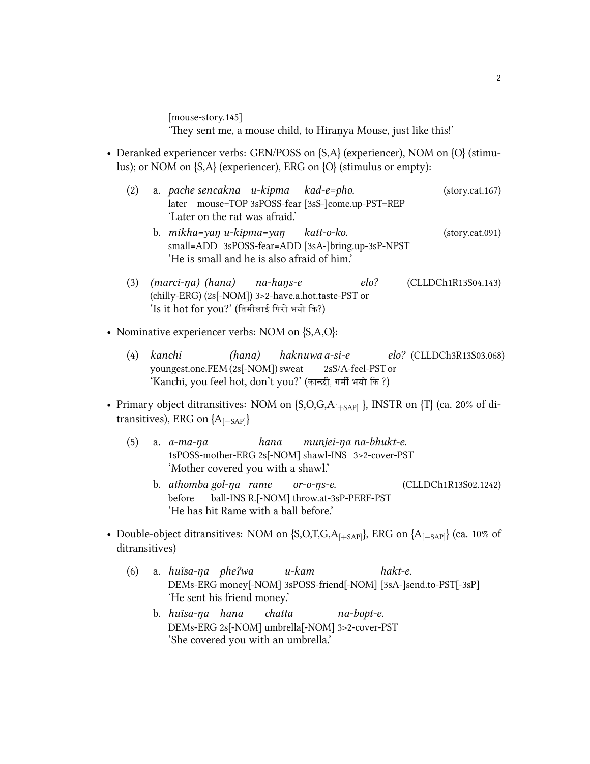[mouse-story.145] 'They sent me, a mouse child, to Hiraṇya Mouse, just like this!'

- <span id="page-1-0"></span>• Deranked experiencer verbs: GEN/POSS on {S,A} (experiencer), NOM on {O} (stimulus); or NOM on {S,A} (experiencer), ERG on {O} (stimulus or empty):
	- (2) a. *pae sencakna u-kipma* later mouse=TOP 3sPOSS-fear [3sS-]come.up-PST=REP *kad-e=pho.* (story.cat.167) 'Later on the rat was afraid.'
		- b. *mikha=yaŋ u-kipma=yaŋ* small=ADD 3sPOSS-fear=ADD [3sA-]bring.up-3sP-NPST *katt-o-ko.* (story.cat.091) 'He is small and he is also afraid of him.'
	- (3) *(marci-ŋa) (hana)* (chilly-ERG) (2s[-NOM]) 3>2-have.a.hot.taste-PST or *na-haŋs-e elo?* (CLLDCh1R13S04.143) 'Is it hot for you?' (तिमीलाई पिरो भयो कि?)
- <span id="page-1-1"></span>• Nominative experiencer verbs: NOM on  ${S, A, O}$ :
	- (4) *kanchi* youngest.one.FEM (2s[-NOM]) sweat *(hana) haknuwa a-si-e* 2sS/A-feel-PST or *elo?* (CLLDCh3R13S03.068) 'Kanchi, you feel hot, don't you?' (कान्छी, गर्मी भयो कि ?)
- Primary object ditransitives: NOM on  $\{S, O, G, A_{[+SAP]} \}$ , INSTR on  $\{T\}$  (ca. 20% of ditransitives), ERG on {A[*−*SAP] }
	- (5) a. *a-ma-ŋa* 1sPOSS-mother-ERG 2s[-NOM] shawl-INS 3>2-cover-PST *hana munjei-ŋa na-bhukt-e.* 'Mother covered you with a shawl.'
		- b. *athomba gol-ŋa rame* before ball-INS R.[-NOM] throw.at-3sP-PERF-PST *or-o-ŋs-e.* (CLLDCh1R13S02.1242) 'He has hit Rame with a ball before.'
- Double-object ditransitives: NOM on {S,O,T,G,A[+SAP] }, ERG on {A[*−*SAP] } (ca. 10% of ditransitives)
	- (6) a. *huĩsa-ŋa pheʔwa* DEMs-ERG money[-NOM] 3sPOSS-friend[-NOM] [3sA-]send.to-PST[-3sP] *u-kam hakt-e.* 'He sent his friend money.'
		- b. *huĩsa-ŋa hana* DEMs-ERG 2s[-NOM] umbrella[-NOM] 3>2-cover-PST *atta na-bopt-e.* 'She covered you with an umbrella.'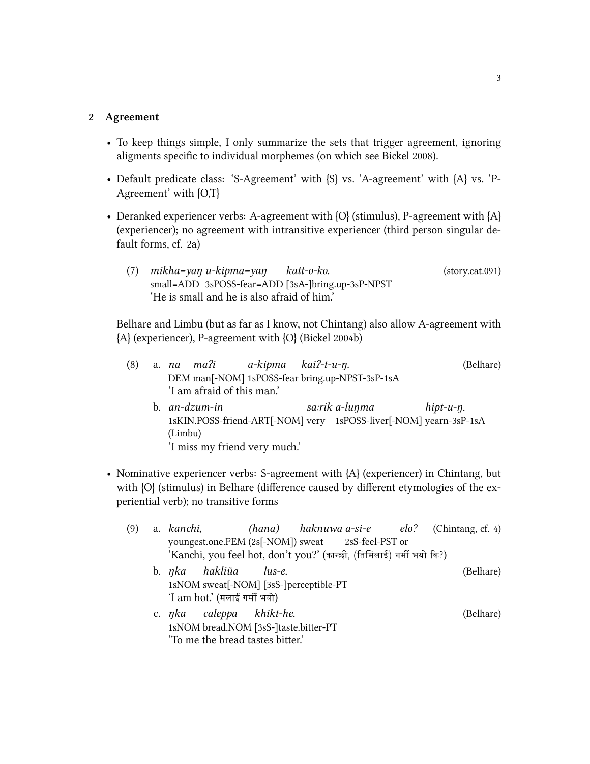## **2 Agreement**

- To keep things simple, I only summarize the sets that trigger agreement, ignoring aligments specific to individual morphemes (on which see Bickel [2008\)](#page-12-0).
- Default predicate class: 'S-Agreement' with {S} vs. 'A-agreement' with {A} vs. 'P-Agreement' with {O,T}
- Deranked experiencer verbs: A-agreement with  ${O}$  (stimulus), P-agreement with  ${A}$ (experiencer); no agreement with intransitive experiencer (third person singular default forms, cf. [2a](#page-1-0))
	- (7) *mikha=yaŋ u-kipma=yaŋ* small=ADD 3sPOSS-fear=ADD [3sA-]bring.up-3sP-NPST *katt-o-ko.* (story.cat.091) 'He is small and he is also afraid of him.'

Belhare and Limbu (but as far as I know, not Chintang) also allow A-agreement with  ${A}$  (experiencer), P-agreement with  ${O}$  (Bickel [2004b\)](#page-12-1)

- (8) a. *na maʔi* DEM man[-NOM] 1sPOSS-fear bring.up-NPST-3sP-1sA *a-kipma kaiʔ-t-u-ŋ.* (Belhare) 'I am afraid of this man.'
	- b. *an-dzum-in* 1sKIN.POSS-friend-ART[-NOM] very 1sPOSS-liver[-NOM] yearn-3sP-1sA *saːrik a-luŋma hipt-u-ŋ.* (Limbu) 'I miss my friend very much.'
- Nominative experiencer verbs: S-agreement with {A} (experiencer) in Chintang, but with  $|O|$  (stimulus) in Belhare (difference caused by different etymologies of the experiential verb); no transitive forms

| (9) |                                       |  | a. kanchi, (hana) haknuwa a-si-e elo? (Chintang, cf. 4)              |           |
|-----|---------------------------------------|--|----------------------------------------------------------------------|-----------|
|     |                                       |  | youngest.one.FEM (2s[-NOM]) sweat 2sS-feel-PST or                    |           |
|     |                                       |  | 'Kanchi, you feel hot, don't you?' (कान्छी, (तिमिलाई) गर्मी भयो कि?) |           |
|     | b. <i>nka hakliũa lus-e.</i>          |  |                                                                      | (Belhare) |
|     |                                       |  | 1sNOM sweat[-NOM] [3sS-]perceptible-PT                               |           |
|     | 'I am hot.' (मलाई गर्मी भयो)          |  |                                                                      |           |
|     | c. <i>nka</i> caleppa khikt-he.       |  |                                                                      | (Belhare) |
|     | 1sNOM bread.NOM [3sS-]taste.bitter-PT |  |                                                                      |           |
|     |                                       |  |                                                                      |           |

'To me the bread tastes bitter.'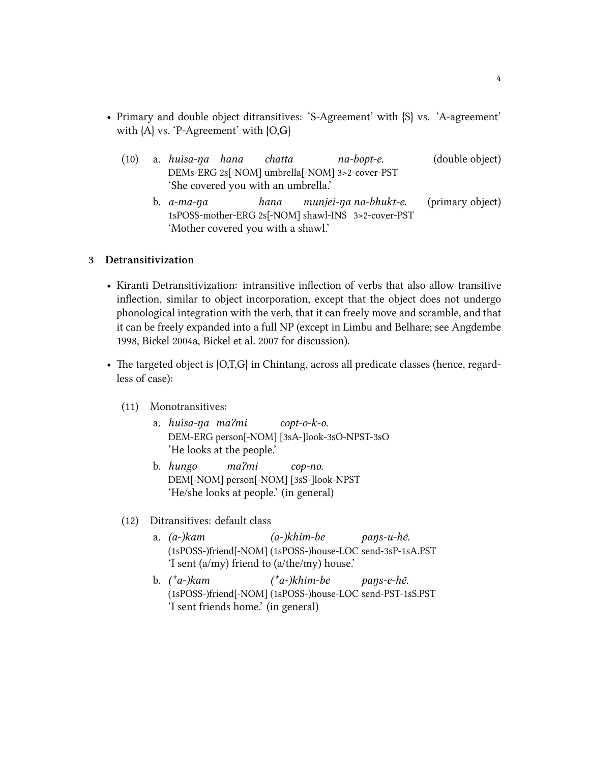- Primary and double object ditransitives: 'S-Agreement' with {S} vs. 'A-agreement' with {A} vs. 'P-Agreement' with {O,**G**}
	- (10) a. *huĩsa-ŋa hana* DEMs-ERG 2s[-NOM] umbrella[-NOM] 3>2-cover-PST *atta na-bopt-e.* (double object) 'She covered you with an umbrella.'
		- b. *a-ma-ŋa* 1sPOSS-mother-ERG 2s[-NOM] shawl-INS 3>2-cover-PST *hana munjei-ŋa na-bhukt-e.* (primary object) 'Mother covered you with a shawl.'

# **3 Detransitivization**

- Kiranti Detransitivization: intransitive inflection of verbs that also allow transitive inflection, similar to object incorporation, except that the object does not undergo phonological integration with the verb, that it can freely move and scramble, and that it can be freely expanded into a full NP (except in Limbu and Belhare; see [Angdembe](#page-12-2) [1998,](#page-12-2) Bickel [2004a,](#page-12-3) Bickel et al. [2007](#page-12-4) for discussion).
- The targeted object is  ${O,T,G}$  in Chintang, across all predicate classes (hence, regardless of case):
	- (11) Monotransitives:
		- a. *huĩsa-ŋa maʔmi* DEM-ERG person[-NOM] [3sA-]look-3sO-NPST-3sO *copt-o-k-o.* 'He looks at the people.'
		- b. *hungo* DEM[-NOM] person[-NOM] [3sS-]look-NPST *maʔmi cop-no.* 'He/she looks at people.' (in general)
	- (12) Ditransitives: default class
		- a. *(a-)kam* (1sPOSS-)friend[-NOM] (1sPOSS-)house-LOC send-3sP-1sA.PST *(a-)khim-be paŋs-u-hẽ.* 'I sent (a/my) friend to (a/the/my) house.'
		- b. *(\*a-)kam* (1sPOSS-)friend[-NOM] (1sPOSS-)house-LOC send-PST-1sS.PST *(\*a-)khim-be paŋs-e-hẽ.* 'I sent friends home.' (in general)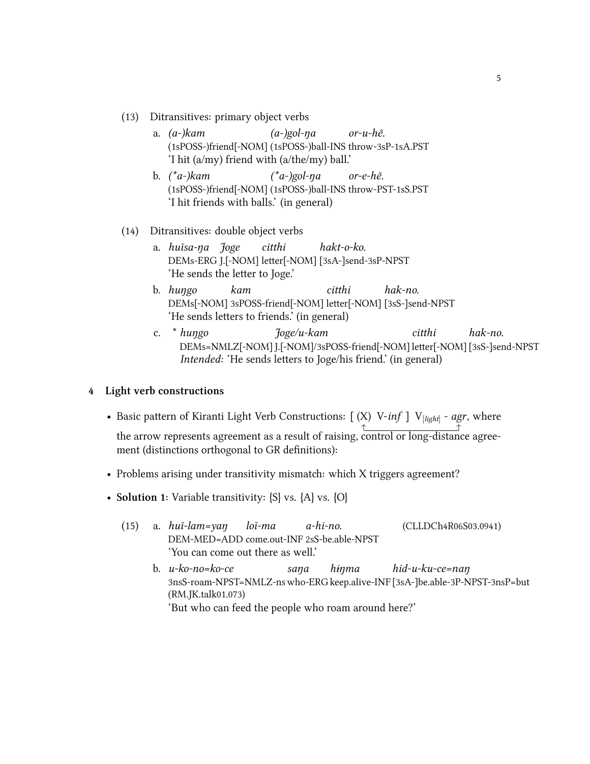- (13) Ditransitives: primary object verbs
	- a. *(a-)kam* (1sPOSS-)friend[-NOM] (1sPOSS-)ball-INS throw-3sP-1sA.PST *(a-)gol-ŋa or-u-hẽ.* 'I hit (a/my) friend with (a/the/my) ball.'
	- b. *(\*a-)kam* (1sPOSS-)friend[-NOM] (1sPOSS-)ball-INS throw-PST-1sS.PST *(\*a-)gol-ŋa or-e-hẽ.* 'I hit friends with balls.' (in general)
- (14) Ditransitives: double object verbs
	- a. *huĩsa-ŋa Joge* DEMs-ERG J.[-NOM] letter[-NOM] [3sA-]send-3sP-NPST *citthi hakt-o-ko.* 'He sends the letter to Joge.'
	- b. *huŋgo* DEMs[-NOM] 3sPOSS-friend[-NOM] letter[-NOM] [3sS-]send-NPST *kam citthi hak-no.* 'He sends letters to friends.' (in general)
	- c. \* *huŋgo* DEMs=NMLZ[-NOM] J.[-NOM]/3sPOSS-friend[-NOM] letter[-NOM] [3sS-]send-NPST *Joge/u-kam citthi hak-no. Intended:* 'He sends letters to Joge/his friend.' (in general)

#### **4 Light verb constructions**

- Basic pattern of Kiranti Light Verb Constructions: [(X) V-*inf* ] V<sub>[light]</sub> agr, where  $\uparrow$  x  $\uparrow$  x  $\uparrow$ the arrow represents agreement as a result of raising, control or long-distance agreement (distinctions orthogonal to GR definitions):
- Problems arising under transitivity mismatch: which X triggers agreement?
- **Solution 1:** Variable transitivity:  $\{S\}$  vs.  $\{A\}$  vs.  $\{O\}$ 
	- (15) a. *huĩ-lam=yaŋ* DEM-MED=ADD come.out-INF 2sS-be.able-NPST *loĩ-ma a-hi-no.* (CLLDCh4R06S03.0941) 'You can come out there as well.'
		- b. *u-ko-no=ko-ce* 3nsS-roam-NPST=NMLZ-ns who-ERG keep.alive-INF [3sA-]be.able-3P-NPST-3nsP=but *saŋa hɨŋma hid-u-ku-ce=naŋ* (RM.JK.talk01.073) 'But who can feed the people who roam around here?'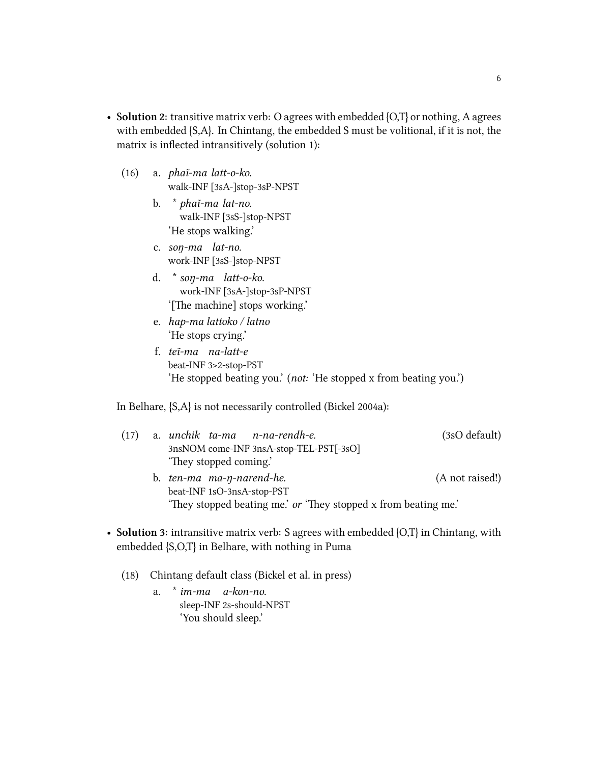- **Solution 2:** transitive matrix verb: O agrees with embedded {O,T} or nothing, A agrees with embedded {S,A}. In Chintang, the embedded S must be volitional, if it is not, the matrix is inflected intransitively (solution 1):
	- (16) a. *phaĩ-ma latt-o-ko.* walk-INF [3sA-]stop-3sP-NPST
		- b. \* *phaĩ-ma lat-no.* walk-INF [3sS-]stop-NPST 'He stops walking.'
		- c. *soŋ-ma lat-no.* work-INF [3sS-]stop-NPST
		- d. \* *soŋ-ma latt-o-ko.* work-INF [3sA-]stop-3sP-NPST '[The machine] stops working.'
		- e. *hap-ma lattoko / latno* 'He stops crying.'
		- f. *teĩ-ma na-latt-e* beat-INF 3>2-stop-PST 'He stopped beating you.' (*not:* 'He stopped x from beating you.')

In Belhare,  ${S, A}$  is not necessarily controlled (Bickel [2004a\)](#page-12-3):

| (17) | a. unchik ta-ma n-na-rendh-e.                                   | $(3sO$ default) |
|------|-----------------------------------------------------------------|-----------------|
|      | 3nsNOM come-INF 3nsA-stop-TEL-PST[-3sO]                         |                 |
|      | 'They stopped coming.'                                          |                 |
|      | b. ten-ma ma-n-narend-he.                                       | (A not raised!) |
|      | beat-INF 1sO-3nsA-stop-PST                                      |                 |
|      | 'They stopped beating me.' or 'They stopped x from beating me.' |                 |

- **Solution 3:** intransitive matrix verb: S agrees with embedded {O,T} in Chintang, with embedded {S,O,T} in Belhare, with nothing in Puma
	- (18) Chintang default class (Bickel et al. [in press\)](#page-12-5)
		- a. \* *im-ma a-kon-no.* sleep-INF 2s-should-NPST 'You should sleep.'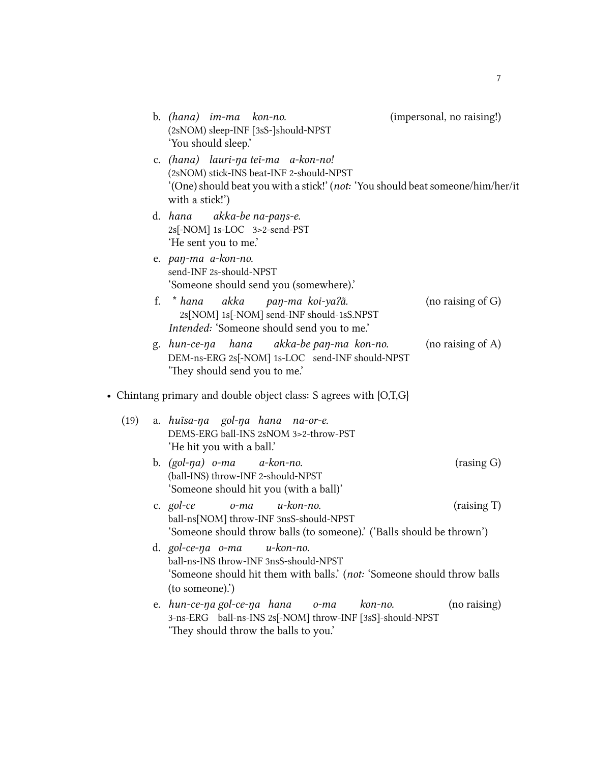|      | b. (hana) im-ma kon-no.<br>(2sNOM) sleep-INF [3sS-]should-NPST<br>'You should sleep.'                                                                                                 | (impersonal, no raising!) |
|------|---------------------------------------------------------------------------------------------------------------------------------------------------------------------------------------|---------------------------|
|      | c. (hana) lauri-na teĩ-ma a-kon-no!<br>(2sNOM) stick-INS beat-INF 2-should-NPST<br>'(One) should beat you with a stick!' (not: 'You should beat someone/him/her/it<br>with a stick!') |                           |
|      | d. hana akka-be na-paŋs-e.<br>2s[-NOM] 1s-LOC 3>2-send-PST<br>'He sent you to me.'                                                                                                    |                           |
|      | e. paŋ-ma a-kon-no.<br>send-INF 2s-should-NPST<br>'Someone should send you (somewhere).'                                                                                              |                           |
|      | f. * hana akka<br>paŋ-ma koi-yaʔã.<br>2s[NOM] 1s[-NOM] send-INF should-1sS.NPST<br>Intended: 'Someone should send you to me.'                                                         | (no raising of G)         |
|      | g. hun-ce-na hana akka-be pan-ma kon-no.<br>DEM-ns-ERG 2s[-NOM] 1s-LOC send-INF should-NPST<br>'They should send you to me.'                                                          | (no raising of $A$ )      |
|      | • Chintang primary and double object class: S agrees with {O,T,G}                                                                                                                     |                           |
| (19) | a. huisa-na gol-na hana na-or-e.<br>DEMS-ERG ball-INS 2sNOM 3>2-throw-PST<br>'He hit you with a ball.'                                                                                |                           |
|      | b. $(gol-na)$ o-ma<br>a-kon-no.<br>(ball-INS) throw-INF 2-should-NPST<br>'Someone should hit you (with a ball)'                                                                       | (rasing G)                |
|      | $u$ -kon-no.<br>c. $\text{gole}$<br>$o$ - $ma$<br>ball-ns[NOM] throw-INF 3nsS-should-NPST<br>'Someone should throw balls (to someone).' ('Balls should be thrown')                    | (raising T)               |
|      | d. gol-ce-na o-ma<br>$u$ -kon-no.<br>ball-ns-INS throw-INF 3nsS-should-NPST<br>'Someone should hit them with balls.' (not: 'Someone should throw balls<br>(to someone).')             |                           |
|      | e. hun-ce-na gol-ce-na hana<br>kon-no.<br>$o$ - $ma$<br>3-ns-ERG ball-ns-INS 2s[-NOM] throw-INF [3sS]-should-NPST<br>'They should throw the balls to you.'                            | (no raising)              |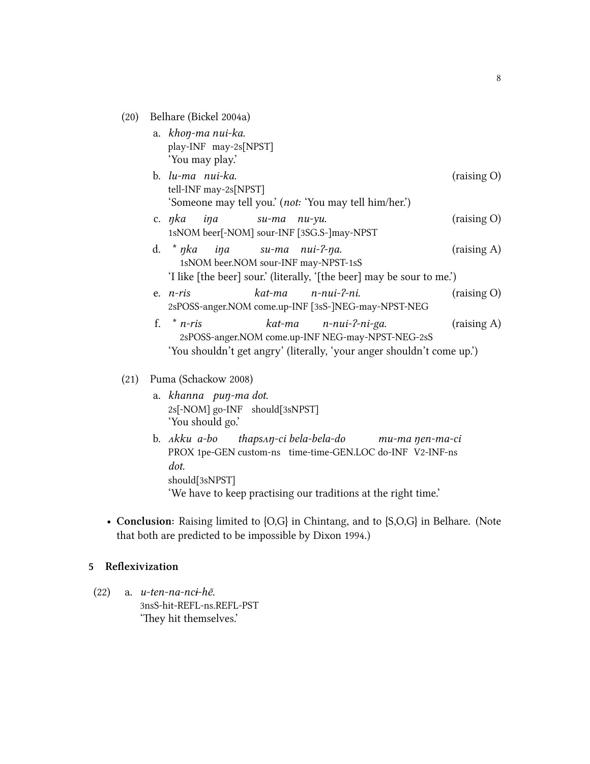- (20) Belhare (Bickel [2004a\)](#page-12-3)
	- a. *khoŋ-ma nui-ka.* play-INF may-2s[NPST] 'You may play.'
	- b. *lu-ma nui-ka.* tell-INF may-2s[NPST] (raising O) 'Someone may tell you.' (*not:* 'You may tell him/her.')
	- c. *ŋka* 1sNOM beer[-NOM] sour-INF [3SG.S-]may-NPST *iŋa su-ma nu-yu.* (raising O)
	- d. \* *ŋka* 1sNOM beer.NOM sour-INF may-NPST-1sS *iŋa su-ma nui-ʔ-ŋa.* (raising A) 'I like [the beer] sour.' (literally, '[the beer] may be sour to me.')
	- e. *n-ris* 2sPOSS-anger.NOM come.up-INF [3sS-]NEG-may-NPST-NEG *kat-ma n-nui-ʔ-ni.* (raising O)
	- f. \* *n-ris* 2sPOSS-anger.NOM come.up-INF NEG-may-NPST-NEG-2sS *kat-ma n-nui-ʔ-ni-ga.* (raising A) 'You shouldn't get angry' (literally, 'your anger shouldn't come up.')

## $(21)$  Puma (Schackow [2008\)](#page-12-6)

- a. *khanna puŋ-ma dot.* 2s[-NOM] go-INF should[3sNPST] 'You should go.'
- b. *ʌkku a-bo* PROX 1pe-GEN custom-ns time-time-GEN.LOC do-INF V2-INF-ns *thapsʌŋ-ci bela-bela-do mu-ma ŋen-ma-ci dot.* should[3sNPST] 'We have to keep practising our traditions at the right time.'
- **Conclusion:** Raising limited to {O,G} in Chintang, and to {S,O,G} in Belhare. (Note that both are predicted to be impossible by [Dixon](#page-12-7) [1994.](#page-12-7))

#### **5 Reflexivization**

(22) a. *u-ten-na-ncɨ-hẽ.* 3nsS-hit-REFL-ns.REFL-PST 'They hit themselves.'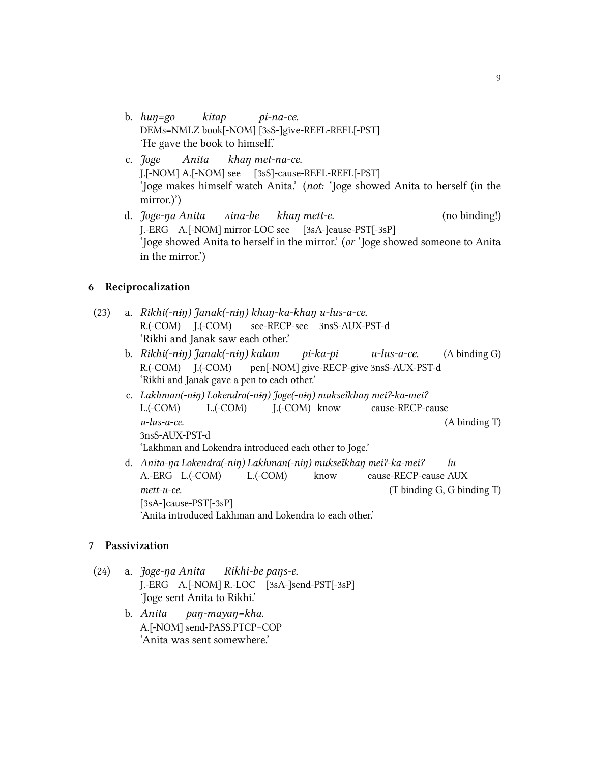- b. *huŋ=go* DEMs=NMLZ book[-NOM] [3sS-]give-REFL-REFL[-PST] *kitap pi-na-ce.* 'He gave the book to himself.'
- c. *Joge* J.[-NOM] A.[-NOM] see [3sS]-cause-REFL-REFL[-PST] *Anita khaŋ met-na-ce.* 'Joge makes himself watch Anita.' (*not:* 'Joge showed Anita to herself (in the mirror.)')
- d. *Joge-ŋa Anita* J.-ERG A.[-NOM] mirror-LOC see [3sA-]cause-PST[-3sP] *ʌina-be khaŋ mett-e.* (no binding!) 'Joge showed Anita to herself in the mirror.' (*or* 'Joge showed someone to Anita in the mirror.')

#### **6 Reciprocalization**

- (23) a. *Rikhi(-nɨŋ) Janak(-nɨŋ) khaŋ-ka-khaŋ u-lus-a-ce.* R.(-COM) J.(-COM) see-RECP-see 3nsS-AUX-PST-d 'Rikhi and Janak saw each other.'
	- b. *Rikhi(-nɨŋ) Janak(-nɨŋ) kalam* R.(-COM) J.(-COM) pen[-NOM] give-RECP-give 3nsS-AUX-PST-d *pi-ka-pi u-lus-a-ce.* (A binding G) 'Rikhi and Janak gave a pen to each other.'
	- c. *Lakhman(-nɨŋ) Lokendra(-nɨŋ) Joge(-nɨŋ) mukseĩkhaŋ meiʔ-ka-meiʔ* L.(-COM) L.(-COM) J.(-COM) know cause-RECP-cause *u-lus-a-ce.* 3nsS-AUX-PST-d (A binding T) 'Lakhman and Lokendra introduced each other to Joge.'
	- d. *Anita-ŋa Lokendra(-nɨŋ) Lakhman(-nɨŋ) mukseĩkhaŋ meiʔ-ka-meiʔ* A.-ERG L.(-COM) L.(-COM) know cause-RECP-cause AUX *lu mett-u-ce.* [3sA-]cause-PST[-3sP] (T binding G, G binding T) 'Anita introduced Lakhman and Lokendra to each other.'

#### **7 Passivization**

- (24) a. *Joge-ŋa Anita* J.-ERG A.[-NOM] R.-LOC [3sA-]send-PST[-3sP] *Rikhi-be paŋs-e.* 'Joge sent Anita to Rikhi.'
	- b. *Anita* A.[-NOM] send-PASS.PTCP=COP *paŋ-mayaŋ=kha.* 'Anita was sent somewhere.'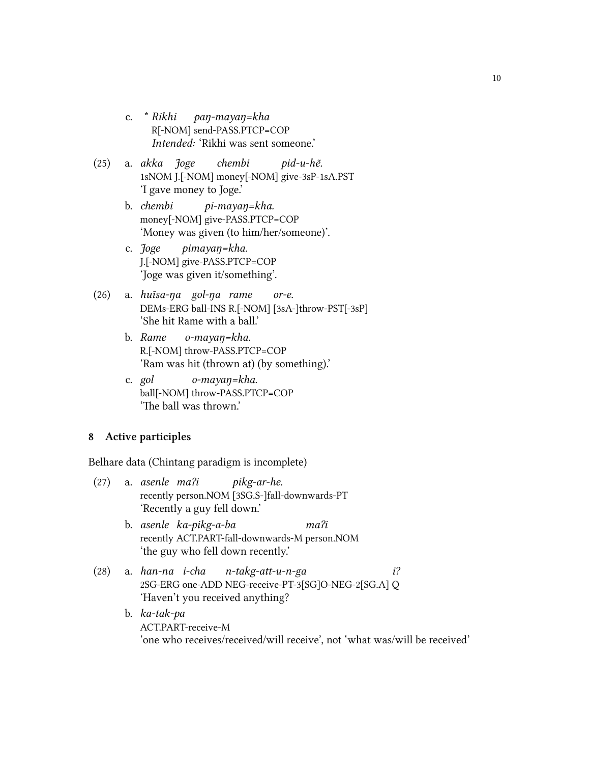- c. \* *Rikhi* R[-NOM] send-PASS.PTCP=COP *paŋ-mayaŋ=kha Intended:* 'Rikhi was sent someone.'
- (25) a. *akka Joge* 1sNOM J.[-NOM] money[-NOM] give-3sP-1sA.PST *embi pid-u-hẽ.* 'I gave money to Joge.'
	- b. *embi* money[-NOM] give-PASS.PTCP=COP *pi-mayaŋ=kha.* 'Money was given (to him/her/someone)'.
	- c. *Joge* J.[-NOM] give-PASS.PTCP=COP *pimayaŋ=kha.* 'Joge was given it/something'.
- (26) a. *huĩsa-ŋa gol-ŋa rame* DEMs-ERG ball-INS R.[-NOM] [3sA-]throw-PST[-3sP] *or-e.* 'She hit Rame with a ball.'
	- b. *Rame* R.[-NOM] throw-PASS.PTCP=COP *o-mayaŋ=kha.* 'Ram was hit (thrown at) (by something).'
	- c. *gol* ball[-NOM] throw-PASS.PTCP=COP *o-mayaŋ=kha.* 'The ball was thrown.'

## **8 Active participles**

Belhare data (Chintang paradigm is incomplete)

- (27) a. *asenle maʔi* recently person.NOM [3SG.S-]fall-downwards-PT *pikg-ar-he.* 'Recently a guy fell down.'
	- b. *asenle ka-pikg-a-ba* recently ACT.PART-fall-downwards-M person.NOM *maʔi* 'the guy who fell down recently.'
- (28) a. *han-na i-cha* 2SG-ERG one-ADD NEG-receive-PT-3[SG]O-NEG-2[SG.A] Q *n-takg-att-u-n-ga i?* 'Haven't you received anything?
	- b. *ka-tak-pa* ACT.PART-receive-M 'one who receives/received/will receive', not 'what was/will be received'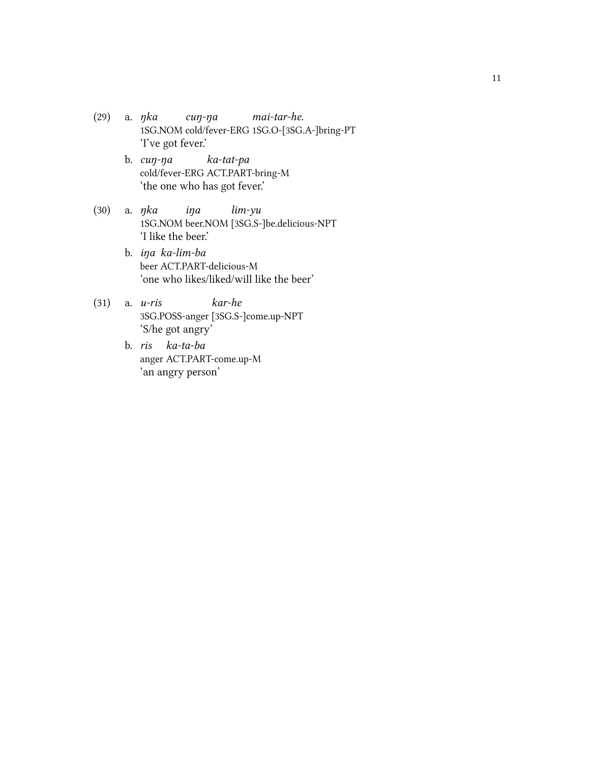- (29) a. *ŋka* 1SG.NOM cold/fever-ERG 1SG.O-[3SG.A-]bring-PT *cuŋ-ŋa mai-tar-he.* 'I've got fever.'
	- b. *cuŋ-ŋa* cold/fever-ERG ACT.PART-bring-M *ka-tat-pa* 'the one who has got fever.'
- (30) a. *ŋka* 1SG.NOM beer.NOM [3SG.S-]be.delicious-NPT *iŋa lim-yu* 'I like the beer.'
	- b. *iŋa ka-lim-ba* beer ACT.PART-delicious-M 'one who likes/liked/will like the beer'
- (31) a. *u-ris* 3SG.POSS-anger [3SG.S-]come.up-NPT *kar-he* 'S/he got angry'
	- b. *ris ka-ta-ba* anger ACT.PART-come.up-M 'an angry person'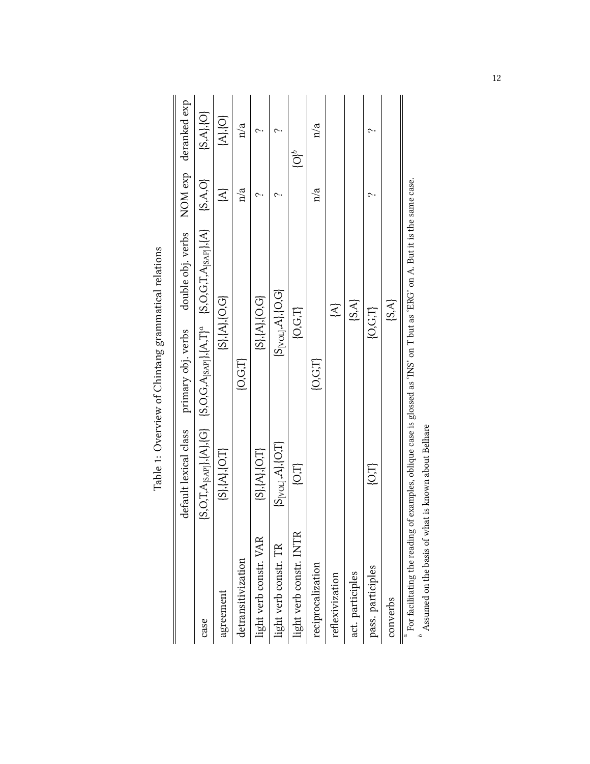|                         |                                         | default lexical class primary obj. verbs double obj. verbs NOM exp deranked exp                              |                          |                          |              |
|-------------------------|-----------------------------------------|--------------------------------------------------------------------------------------------------------------|--------------------------|--------------------------|--------------|
| case                    |                                         | $[S, O, T, A_{[SAP]}], [A], [G]$ $[S, O, G, A_{[SAP]}], [A, T]^a$ $[S, O, G, T, A_{[SAP]}], [A]$ $[S, A, O]$ |                          |                          | ${S.A}, {O}$ |
| agreement               | ${S}, {A}, {O}, T$                      | ${S}, {A}, {O}, G$                                                                                           |                          | $\overline{\mathcal{A}}$ | ${A}, {O}$   |
| detransitivization      |                                         | [0, G, T]                                                                                                    |                          | n/a                      | n/a          |
| light verb constr. VAR  | ${S}, {A}, {O}, T$                      | ${S}, {A}, {O}, G$                                                                                           |                          |                          |              |
| light verb constr. TR   | $\{S_{\text{[VOL]},A\},\{\text{O,T}\}}$ | $\{S_{[\text{VOI}]},A\},[O,G]$                                                                               |                          |                          |              |
| light verb constr. INTR | $\left\{ \text{O,T}\right\}$            | $\left\{ \text{O,G,T}\right\}$                                                                               |                          |                          | $\bigodot^b$ |
| reciprocalization       |                                         | [O, G, T]                                                                                                    |                          | n/a                      | n/a          |
| reflexivization         |                                         |                                                                                                              | $\overline{\mathcal{L}}$ |                          |              |
| act. participles        |                                         |                                                                                                              | $\{S,A\}$                |                          |              |
| pass. participles       | [0,1]                                   | $\left\{ \text{O,G,T}\right\}$                                                                               |                          |                          |              |
| converbs                |                                         |                                                                                                              | ${S.A}$                  |                          |              |

Table 1: Overview of Chintang grammatical relations Table 1: Overview of Chintang grammatical relations For facilitating the reading of examples, oblique case is glossed as 'INS' on T but as 'ERG' on A. But it is the same case.

*ab* $^{\boldsymbol{b}}$  Assumed on the basis of what is known about Belhare Assumed on the basis of what is known about Belhare

12